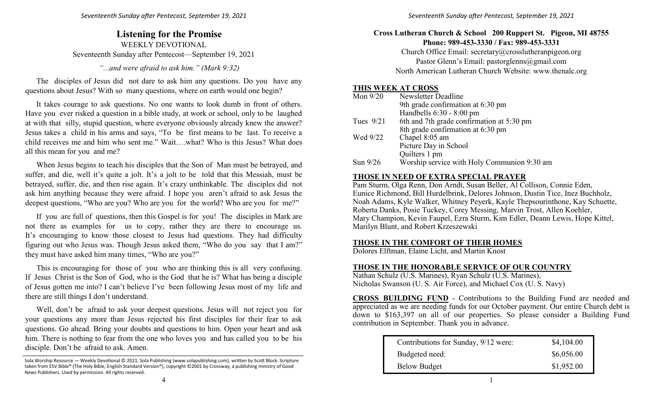## **Listening for the Promise** WEEKLY DEVOTIONAL Seventeenth Sunday after Pentecost—September 19, 2021

*"...and were afraid to ask him." (Mark 9:32)*

The disciples of Jesus did not dare to ask him any questions. Do you have any questions about Jesus? With so many questions, where on earth would one begin?

It takes courage to ask questions. No one wants to look dumb in front of others. Have you ever risked a question in a bible study, at work or school, only to be laughed at with that silly, stupid question, where everyone obviously already knew the answer? Jesus takes a child in his arms and says, "To be first means to be last. To receive a child receives me and him who sent me." Wait….what? Who is this Jesus? What does all this mean for you and me?

When Jesus begins to teach his disciples that the Son of Man must be betrayed, and suffer, and die, well it's quite a jolt. It's a jolt to be told that this Messiah, must be betrayed, suffer, die, and then rise again. It's crazy unthinkable. The disciples did not ask him anything because they were afraid. I hope you aren't afraid to ask Jesus the deepest questions, "Who are you? Who are you for the world? Who are you for me?"

If you are full of questions, then this Gospel is for you! The disciples in Mark are not there as examples for us to copy, rather they are there to encourage us. It's encouraging to know those closest to Jesus had questions. They had difficulty figuring out who Jesus was. Though Jesus asked them, "Who do you say that I am?" they must have asked him many times, "Who are you?"

This is encouraging for those of you who are thinking this is all very confusing. If Jesus Christ is the Son of God, who is the God that he is? What has being a disciple of Jesus gotten me into? I can't believe I've been following Jesus most of my life and there are still things I don't understand.

Well, don't be afraid to ask your deepest questions. Jesus will not reject you for your questions any more than Jesus rejected his first disciples for their fear to ask questions. Go ahead. Bring your doubts and questions to him. Open your heart and ask him. There is nothing to fear from the one who loves you and has called you to be his disciple. Don't be afraid to ask. Amen.

### **Cross Lutheran Church & School 200 Ruppert St. Pigeon, MI 48755 Phone: 989-453-3330 / Fax: 989-453-3331**

Church Office Email: secretary@crosslutheranpigeon.org Pastor Glenn's Email: pastorglenns@gmail.com North American Lutheran Church Website: www.thenalc.org

#### **THIS WEEK AT CROSS**

| Mon $9/20$  | Newsletter Deadline                         |
|-------------|---------------------------------------------|
|             | 9th grade confirmation at 6:30 pm           |
|             | Handbells $6:30 - 8:00$ pm                  |
| Tues $9/21$ | 6th and 7th grade confirmation at 5:30 pm   |
|             | 8th grade confirmation at 6:30 pm           |
| Wed 9/22    | Chapel 8:05 am                              |
|             | Picture Day in School                       |
|             | Quilters 1 pm                               |
| Sun $9/26$  | Worship service with Holy Communion 9:30 am |

#### **THOSE IN NEED OF EXTRA SPECIAL PRAYER**

Pam Sturm, Olga Renn, Don Arndt, Susan Beller, Al Collison, Connie Eden, Eunice Richmond, Bill Hurdelbrink, Delores Johnson, Dustin Tice, Inez Buchholz, Noah Adams, Kyle Walker, Whitney Peyerk, Kayle Thepsourinthone, Kay Schuette, Roberta Danks, Posie Tuckey, Corey Messing, Marvin Trost, Allen Koehler, Mary Champion, Kevin Faupel, Ezra Sturm, Kim Edler, Deann Lewis, Hope Kittel, Marilyn Blunt, and Robert Krzeszewski

#### **THOSE IN THE COMFORT OF THEIR HOMES**

Dolores Elftman, Elaine Licht, and Martin Knost

#### **THOSE IN THE HONORABLE SERVICE OF OUR COUNTRY**

Nathan Schulz (U.S. Marines), Ryan Schulz (U.S. Marines), Nicholas Swanson (U. S. Air Force), and Michael Cox (U. S. Navy)

**CROSS BUILDING FUND** - Contributions to the Building Fund are needed and appreciated as we are needing funds for our October payment. Our entire Church debt is down to \$163,397 on all of our properties. So please consider a Building Fund contribution in September. Thank you in advance.

| Contributions for Sunday, 9/12 were: | \$4,104.00 |
|--------------------------------------|------------|
| Budgeted need:                       | \$6,056.00 |
| <b>Below Budget</b>                  | \$1,952.00 |

Sola Worship Resource — Weekly Devotional © 2021, Sola Publishing (www.solapublishing.com), written by Scott Block. Scripture taken from ESV Bible® (The Holy Bible, English Standard Version®), copyright ©2001 by Crossway, a publishing ministry of Good News Publishers. Used by permission. All rights reserved.